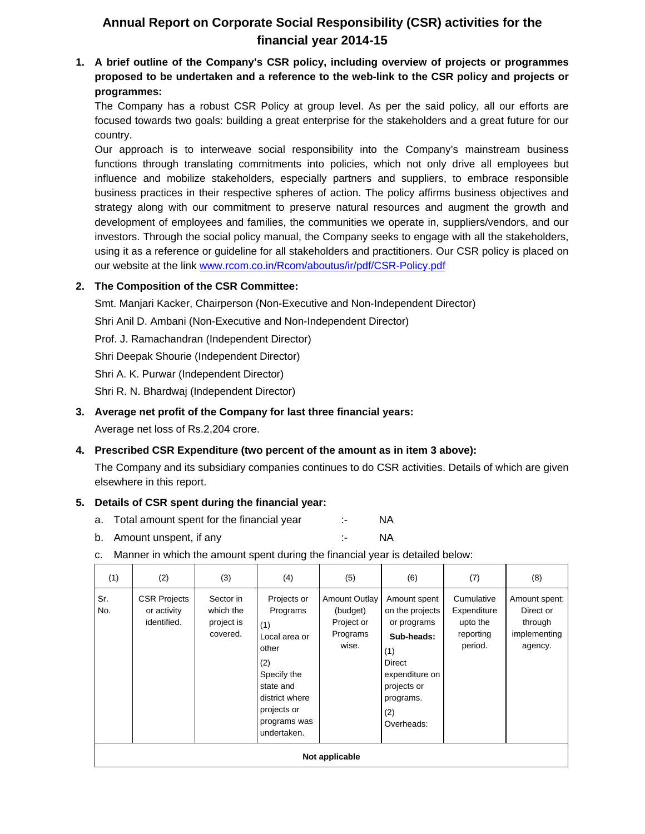# **Annual Report on Corporate Social Responsibility (CSR) activities for the financial year 2014-15**

**1. A brief outline of the Company's CSR policy, including overview of projects or programmes proposed to be undertaken and a reference to the web-link to the CSR policy and projects or programmes:**

The Company has a robust CSR Policy at group level. As per the said policy, all our efforts are focused towards two goals: building a great enterprise for the stakeholders and a great future for our country.

Our approach is to interweave social responsibility into the Company's mainstream business functions through translating commitments into policies, which not only drive all employees but influence and mobilize stakeholders, especially partners and suppliers, to embrace responsible business practices in their respective spheres of action. The policy affirms business objectives and strategy along with our commitment to preserve natural resources and augment the growth and development of employees and families, the communities we operate in, suppliers/vendors, and our investors. Through the social policy manual, the Company seeks to engage with all the stakeholders, using it as a reference or guideline for all stakeholders and practitioners. Our CSR policy is placed on our website at the link www.rcom.co.in/Rcom/aboutus/ir/pdf/CSR-Policy.pdf

# **2. The Composition of the CSR Committee:**

Smt. Manjari Kacker, Chairperson (Non-Executive and Non-Independent Director)

Shri Anil D. Ambani (Non-Executive and Non-Independent Director)

Prof. J. Ramachandran (Independent Director)

Shri Deepak Shourie (Independent Director)

Shri A. K. Purwar (Independent Director)

Shri R. N. Bhardwaj (Independent Director)

### **3. Average net profit of the Company for last three financial years:**

Average net loss of Rs.2,204 crore.

# **4. Prescribed CSR Expenditure (two percent of the amount as in item 3 above):**

The Company and its subsidiary companies continues to do CSR activities. Details of which are given elsewhere in this report.

# **5. Details of CSR spent during the financial year:**

- a. Total amount spent for the financial year :- NA
- b. Amount unspent, if any the same state of the NA
- c. Manner in which the amount spent during the financial year is detailed below:

| (1)            | (2)                                               | (3)                                              | (4)                                                                                                                                                         | (5)                                                                 | (6)                                                                                                                                              | (7)                                                           | (8)                                                              |
|----------------|---------------------------------------------------|--------------------------------------------------|-------------------------------------------------------------------------------------------------------------------------------------------------------------|---------------------------------------------------------------------|--------------------------------------------------------------------------------------------------------------------------------------------------|---------------------------------------------------------------|------------------------------------------------------------------|
| Sr.<br>No.     | <b>CSR Projects</b><br>or activity<br>identified. | Sector in<br>which the<br>project is<br>covered. | Projects or<br>Programs<br>(1)<br>Local area or<br>other<br>(2)<br>Specify the<br>state and<br>district where<br>projects or<br>programs was<br>undertaken. | <b>Amount Outlay</b><br>(budget)<br>Project or<br>Programs<br>wise. | Amount spent<br>on the projects<br>or programs<br>Sub-heads:<br>(1)<br>Direct<br>expenditure on<br>projects or<br>programs.<br>(2)<br>Overheads: | Cumulative<br>Expenditure<br>upto the<br>reporting<br>period. | Amount spent:<br>Direct or<br>through<br>implementing<br>agency. |
| Not applicable |                                                   |                                                  |                                                                                                                                                             |                                                                     |                                                                                                                                                  |                                                               |                                                                  |